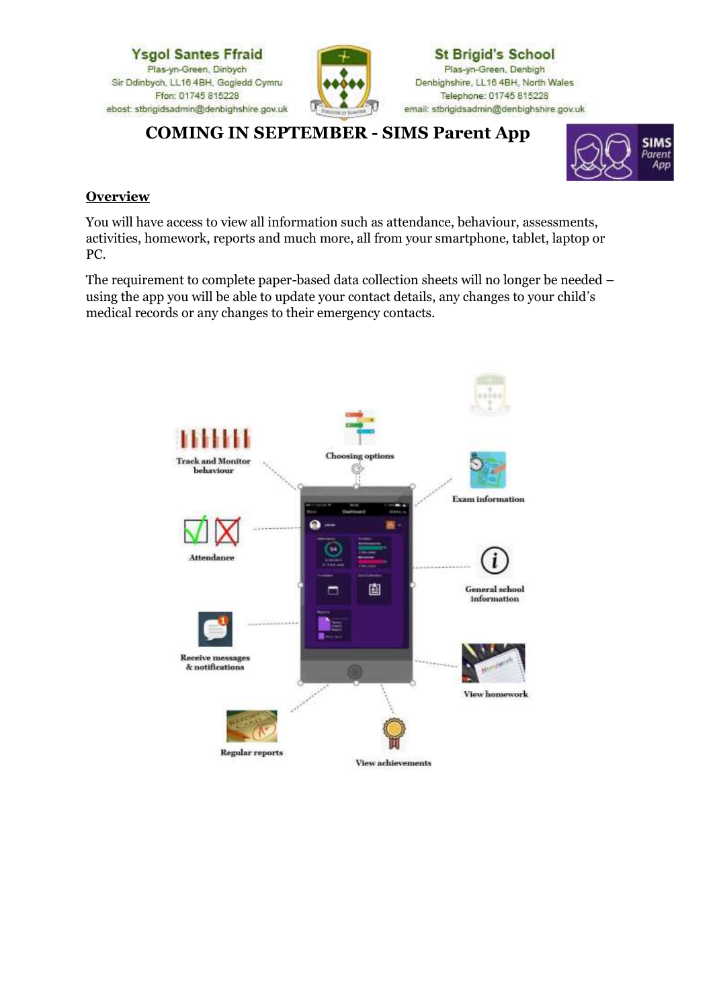

# **COMING IN SEPTEMBER - SIMS Parent App**



### **Overview**

You will have access to view all information such as attendance, behaviour, assessments, activities, homework, reports and much more, all from your smartphone, tablet, laptop or PC.

The requirement to complete paper-based data collection sheets will no longer be needed – using the app you will be able to update your contact details, any changes to your child's medical records or any changes to their emergency contacts.

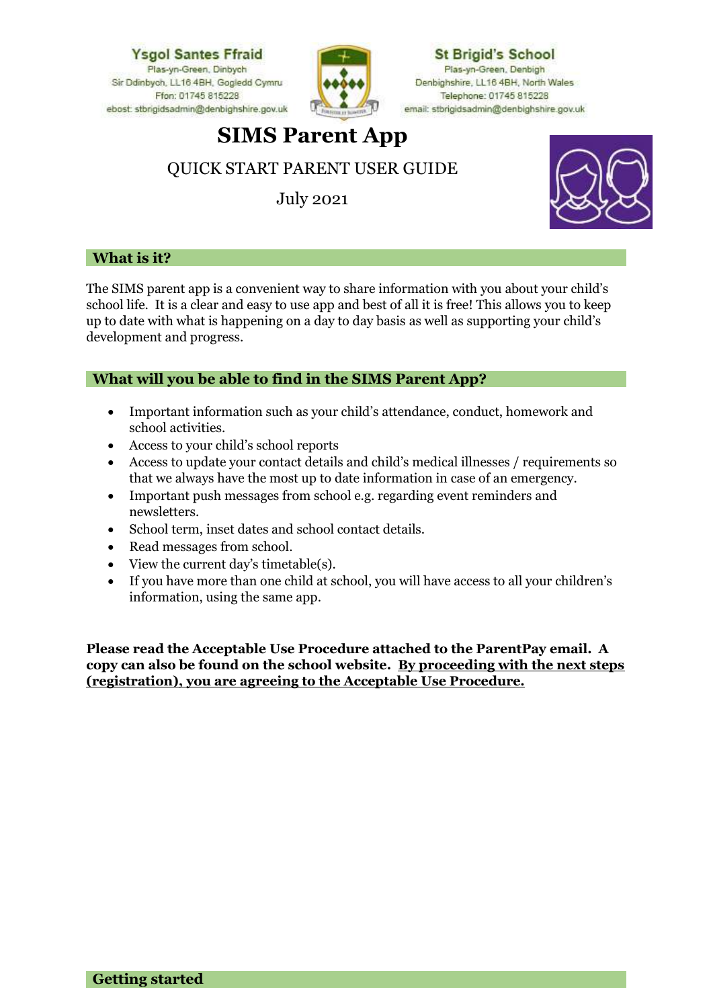

**St Brigid's School** Plas-yn-Green, Denbigh Denbighshire, LL16 4BH, North Wales Telephone: 01745 815228 email: stbrigidsadmin@denbighshire.gov.uk

# **SIMS Parent App**

# QUICK START PARENT USER GUIDE

July 2021



## **What is it?**

The SIMS parent app is a convenient way to share information with you about your child's school life. It is a clear and easy to use app and best of all it is free! This allows you to keep up to date with what is happening on a day to day basis as well as supporting your child's development and progress.

# **What will you be able to find in the SIMS Parent App?**

- Important information such as your child's attendance, conduct, homework and school activities.
- Access to your child's school reports
- Access to update your contact details and child's medical illnesses / requirements so that we always have the most up to date information in case of an emergency.
- Important push messages from school e.g. regarding event reminders and newsletters.
- School term, inset dates and school contact details.
- Read messages from school.
- View the current day's timetable(s).
- If you have more than one child at school, you will have access to all your children's information, using the same app.

**Please read the Acceptable Use Procedure attached to the ParentPay email. A copy can also be found on the school website. By proceeding with the next steps (registration), you are agreeing to the Acceptable Use Procedure.**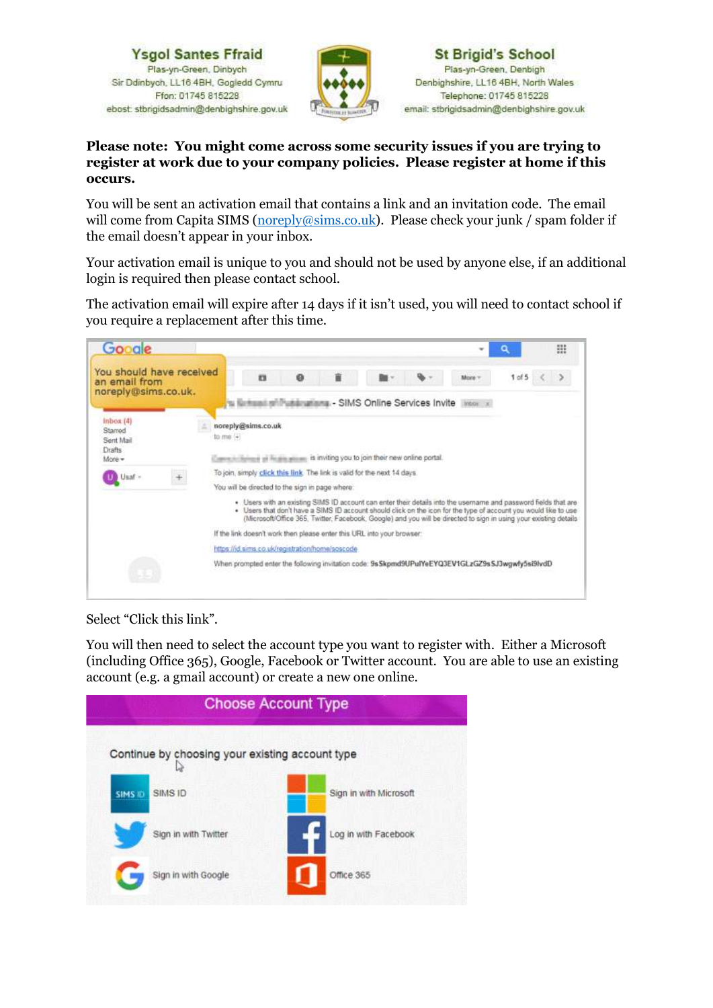

#### **Please note: You might come across some security issues if you are trying to register at work due to your company policies. Please register at home if this occurs.**

You will be sent an activation email that contains a link and an invitation code. The email will come from Capita SIMS [\(noreply@sims.co.uk\)](mailto:noreply@sims.co.uk). Please check your junk / spam folder if the email doesn't appear in your inbox.

Your activation email is unique to you and should not be used by anyone else, if an additional login is required then please contact school.

The activation email will expire after 14 days if it isn't used, you will need to contact school if you require a replacement after this time.

| You should have received<br>an email from            | 1 of 5 <<br>ø<br>n<br>More =                                                                                                                                                                                                                                                                                                                             |  |  |  |  |
|------------------------------------------------------|----------------------------------------------------------------------------------------------------------------------------------------------------------------------------------------------------------------------------------------------------------------------------------------------------------------------------------------------------------|--|--|--|--|
| noreply@sims.co.uk.                                  | tu ilintaani militutulirualinna - SIMS Online Services Invite Intornal                                                                                                                                                                                                                                                                                   |  |  |  |  |
| inbox(4)<br>Starred<br>Sent Mail<br>Drafts<br>More - | noreply@sims.co.uk<br>to me (+)<br>Cannot in figures at the site accump its inviting you to join their new online portal.                                                                                                                                                                                                                                |  |  |  |  |
| I) Usaf -                                            | To join, simply click this link. The link is valid for the next 14 days.                                                                                                                                                                                                                                                                                 |  |  |  |  |
|                                                      | You will be directed to the sign in page where:                                                                                                                                                                                                                                                                                                          |  |  |  |  |
|                                                      | . Users with an existing SIMS ID account can enter their details into the username and password fields that are<br>. Users that don't have a SIMS ID account should click on the icon for the type of account you would like to use<br>(Microsoft/Office 365, Twitter, Facebook, Google) and you will be directed to sign in using your existing details |  |  |  |  |
|                                                      | If the link doesn't work then please enter this URL into your browser:                                                                                                                                                                                                                                                                                   |  |  |  |  |
|                                                      | https://id.sims.co.uk/registration/home/soscode                                                                                                                                                                                                                                                                                                          |  |  |  |  |
|                                                      | When prompted enter the following invitation code: 9s Skpmd9UPuIYeEYQ3EV1GLzGZ9s SJ3wgwfy5si9lvdD                                                                                                                                                                                                                                                        |  |  |  |  |

Select "Click this link".

You will then need to select the account type you want to register with. Either a Microsoft (including Office 365), Google, Facebook or Twitter account. You are able to use an existing account (e.g. a gmail account) or create a new one online.

| <b>Choose Account Type</b>                      |                        |  |  |  |  |  |
|-------------------------------------------------|------------------------|--|--|--|--|--|
| Continue by choosing your existing account type |                        |  |  |  |  |  |
| SIMS ID<br>SIMS ID                              | Sign in with Microsoft |  |  |  |  |  |
| Sign in with Twitter                            | Log in with Facebook   |  |  |  |  |  |
| Sign in with Google                             | Office 365             |  |  |  |  |  |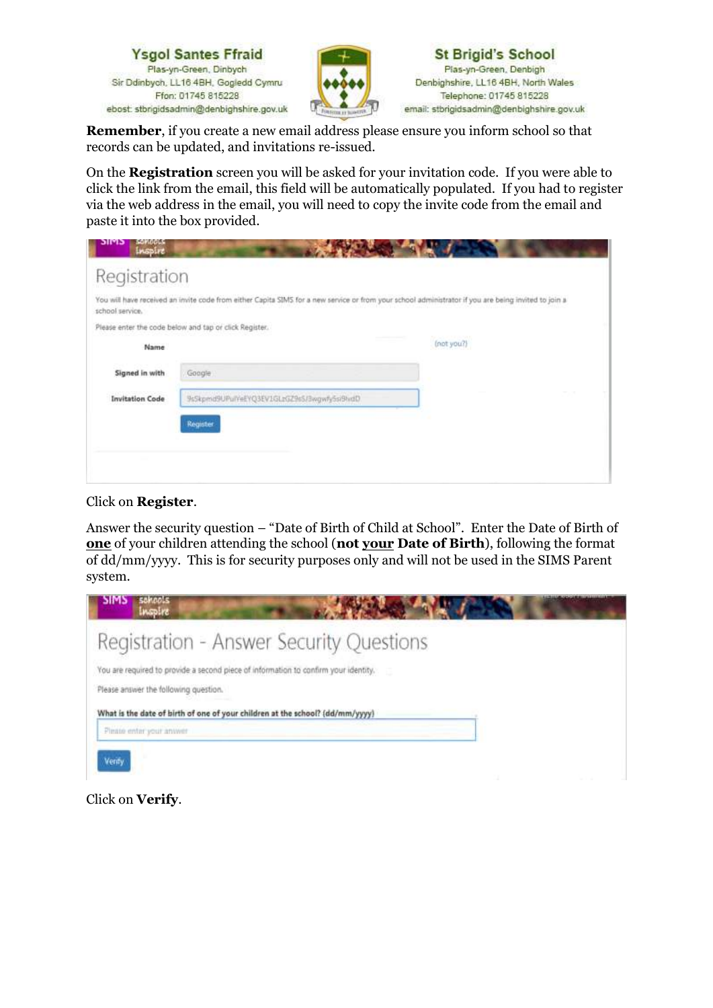



**Remember**, if you create a new email address please ensure you inform school so that records can be updated, and invitations re-issued.

On the **Registration** screen you will be asked for your invitation code. If you were able to click the link from the email, this field will be automatically populated. If you had to register via the web address in the email, you will need to copy the invite code from the email and paste it into the box provided.

| <b>SOMOOLS</b><br>כויזוכ<br>Inspire |                                                                                                                                                      |            |
|-------------------------------------|------------------------------------------------------------------------------------------------------------------------------------------------------|------------|
| Registration                        |                                                                                                                                                      |            |
| school service.                     | You will have received an invite code from either Capita SIMS for a new service or from your school administrator if you are being invited to join a |            |
|                                     | Please enter the code below and tap or click Register.                                                                                               |            |
| Name                                |                                                                                                                                                      | (not you?) |
| Signed in with                      | Google                                                                                                                                               |            |
| <b>Invitation Code</b>              | 9sSkpmd9UPulYeEYQ3EV1GLzGZ9s5/3wgwfy5si9tvdD                                                                                                         |            |
|                                     | Register                                                                                                                                             |            |
|                                     |                                                                                                                                                      |            |
|                                     |                                                                                                                                                      |            |
|                                     |                                                                                                                                                      |            |

#### Click on **Register**.

Answer the security question – "Date of Birth of Child at School". Enter the Date of Birth of **one** of your children attending the school (**not your Date of Birth**), following the format of dd/mm/yyyy. This is for security purposes only and will not be used in the SIMS Parent system.



Click on **Verify**.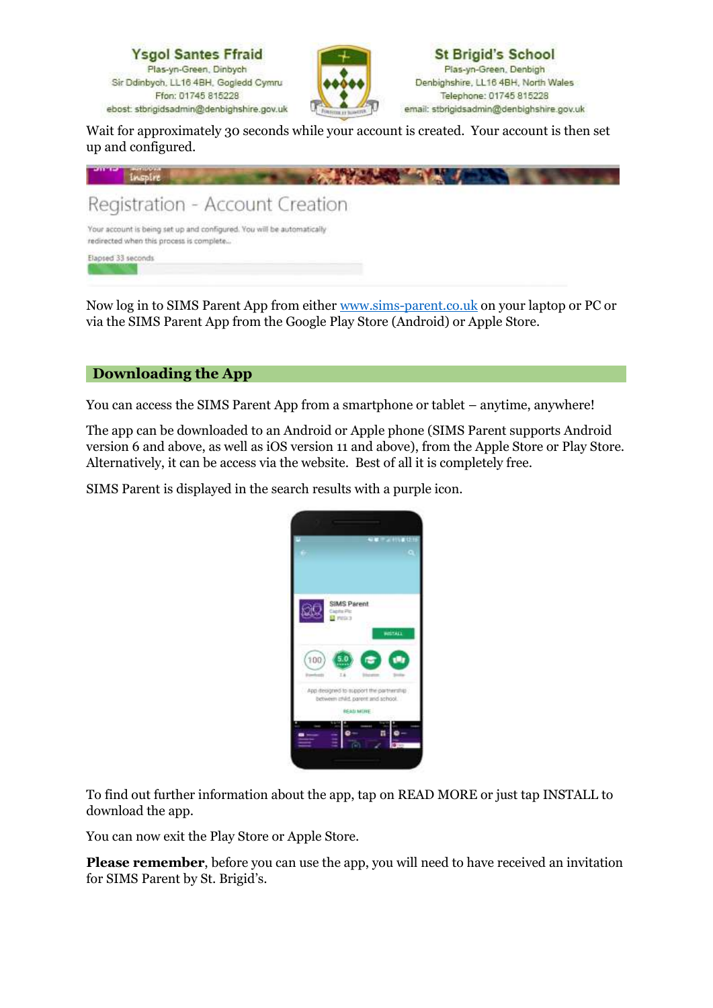

Wait for approximately 30 seconds while your account is created. Your account is then set up and configured.



Now log in to SIMS Parent App from either [www.sims-parent.co.uk](http://www.sims-parent.co.uk/) on your laptop or PC or via the SIMS Parent App from the Google Play Store (Android) or Apple Store.

### **Downloading the App**

You can access the SIMS Parent App from a smartphone or tablet – anytime, anywhere!

The app can be downloaded to an Android or Apple phone (SIMS Parent supports Android version 6 and above, as well as iOS version 11 and above), from the Apple Store or Play Store. Alternatively, it can be access via the website. Best of all it is completely free.

SIMS Parent is displayed in the search results with a purple icon.



To find out further information about the app, tap on READ MORE or just tap INSTALL to download the app.

You can now exit the Play Store or Apple Store.

**Please remember**, before you can use the app, you will need to have received an invitation for SIMS Parent by St. Brigid's.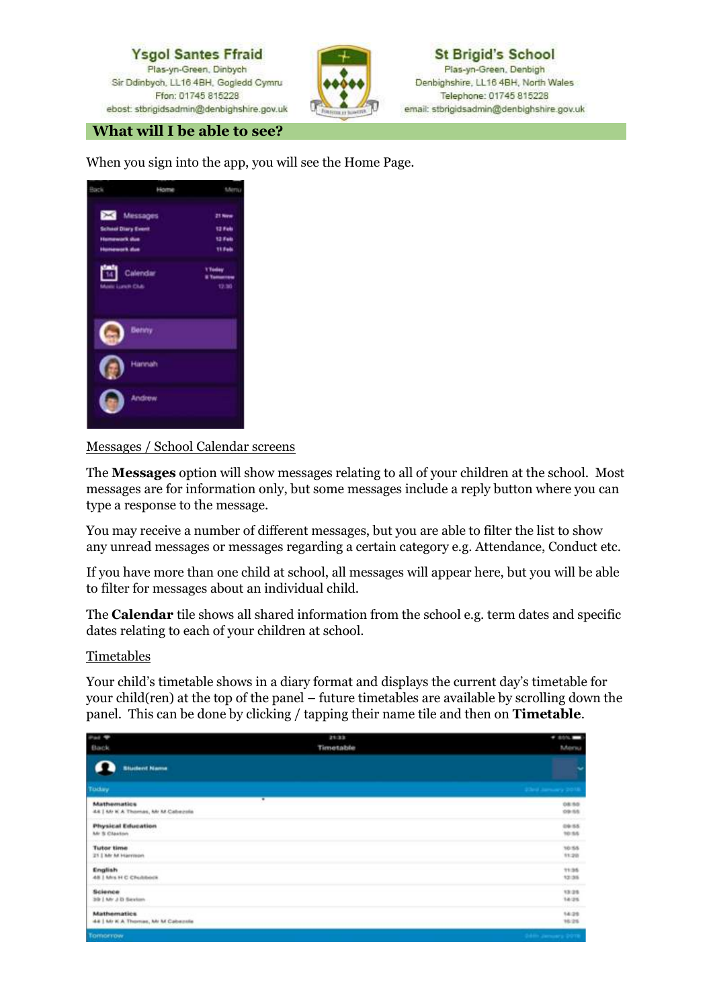

**St Brigid's School** Plas-yn-Green, Denbigh Denbighshire, LL16 4BH, North Wales Telephone: 01745 815228 email: stbrigidsadmin@denbighshire.gov.uk

#### **What will I be able to see?**

When you sign into the app, you will see the Home Page.

| lack                      | 10/72         | Merry   |
|---------------------------|---------------|---------|
| Messages                  |               | 21 Nove |
| <b>School Diary Event</b> |               | 12 Feb  |
| <b>Humawark dua</b>       |               | 12 Feb  |
| <b>Humanush Aus</b>       |               | 11 Fals |
| 闓                         | Calendar      | 1 Today |
| Masic Lunch Chik          |               | 12.30   |
|                           | Bettity       |         |
|                           | Hannah        |         |
|                           | <b>Andrew</b> |         |
|                           |               |         |

Messages / School Calendar screens

The **Messages** option will show messages relating to all of your children at the school. Most messages are for information only, but some messages include a reply button where you can type a response to the message.

You may receive a number of different messages, but you are able to filter the list to show any unread messages or messages regarding a certain category e.g. Attendance, Conduct etc.

If you have more than one child at school, all messages will appear here, but you will be able to filter for messages about an individual child.

The **Calendar** tile shows all shared information from the school e.g. term dates and specific dates relating to each of your children at school.

#### **Timetables**

Your child's timetable shows in a diary format and displays the current day's timetable for your child(ren) at the top of the panel – future timetables are available by scrolling down the panel. This can be done by clicking / tapping their name tile and then on **Timetable**.

| Pad W                                                   | 21/33     | $-2000 -$              |
|---------------------------------------------------------|-----------|------------------------|
| <b>Back</b>                                             | Timetable | Mersu                  |
| <b>Student Name</b>                                     |           | w                      |
| Today.                                                  |           | 23ml January 2018      |
| <b>Mathematics</b><br>44   Mr K A Thomas, Mr M Cabezola | ٠         | 08:50<br>09:55         |
| <b>Physical Education</b><br>Mr S Claston               |           | 09:55<br>10.55         |
| <b>Tutor time</b><br>21   Mr M Harrison                 |           | 10.55<br>11.20         |
| English<br>48   Mrs H C Chulsbock                       |           | 11:35<br>12.35         |
| Science<br>39   Mr J D Sexton                           |           | 13:25<br>14:25         |
| <b>Mathematics</b><br>44   Mr K A Thomas, Mr M Cabazola |           | 14.25<br>16:25         |
| <b>Tomorrow</b>                                         |           | <b>SAM Jensey 2019</b> |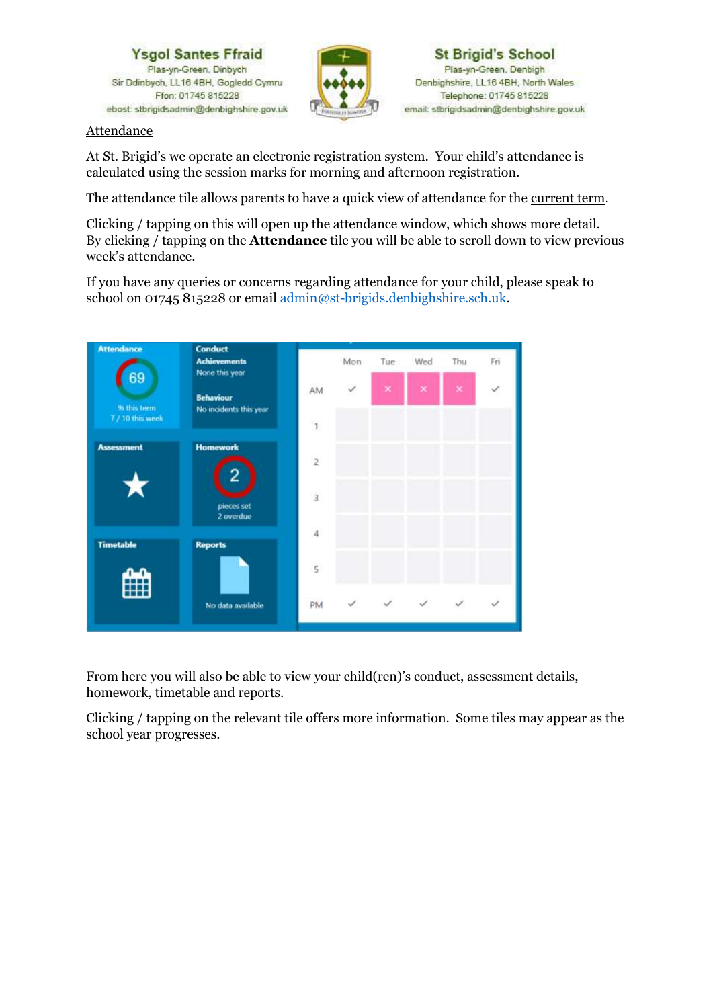

**Attendance** 

At St. Brigid's we operate an electronic registration system. Your child's attendance is calculated using the session marks for morning and afternoon registration.

The attendance tile allows parents to have a quick view of attendance for the current term.

Clicking / tapping on this will open up the attendance window, which shows more detail. By clicking / tapping on the **Attendance** tile you will be able to scroll down to view previous week's attendance.

If you have any queries or concerns regarding attendance for your child, please speak to school on 01745 815228 or email [admin@st-brigids.denbighshire.sch.uk.](mailto:admin@st-brigids.denbighshire.sch.uk)



From here you will also be able to view your child(ren)'s conduct, assessment details, homework, timetable and reports.

Clicking / tapping on the relevant tile offers more information. Some tiles may appear as the school year progresses.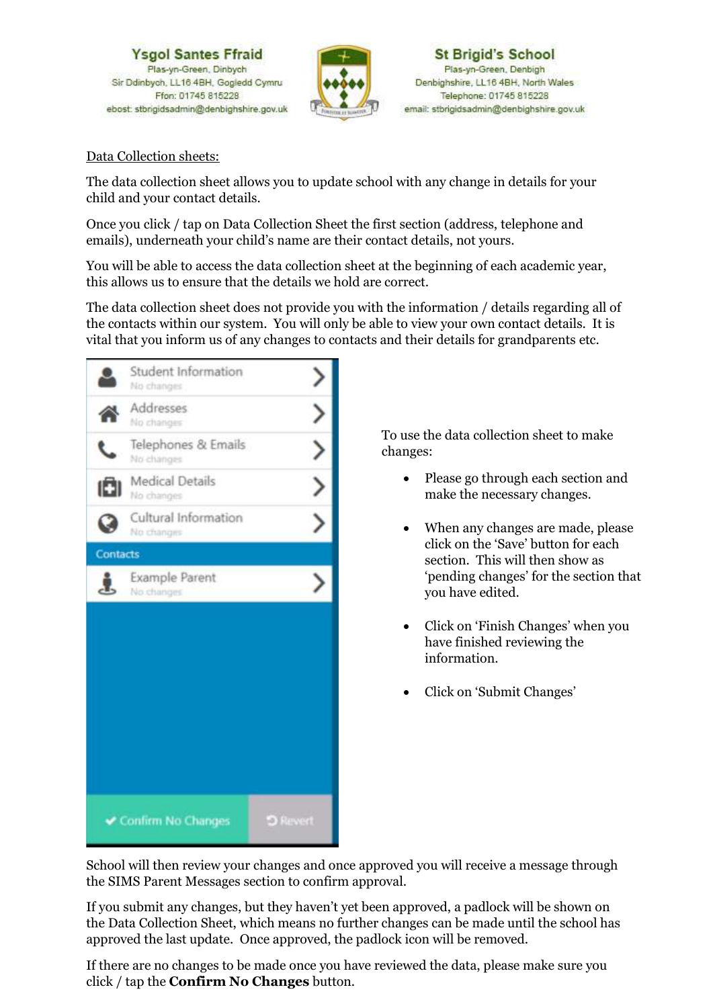

#### Data Collection sheets:

The data collection sheet allows you to update school with any change in details for your child and your contact details.

Once you click / tap on Data Collection Sheet the first section (address, telephone and emails), underneath your child's name are their contact details, not yours.

You will be able to access the data collection sheet at the beginning of each academic year, this allows us to ensure that the details we hold are correct.

The data collection sheet does not provide you with the information / details regarding all of the contacts within our system. You will only be able to view your own contact details. It is vital that you inform us of any changes to contacts and their details for grandparents etc.



To use the data collection sheet to make changes:

- Please go through each section and make the necessary changes.
- When any changes are made, please click on the 'Save' button for each section. This will then show as 'pending changes' for the section that you have edited.
- Click on 'Finish Changes' when you have finished reviewing the information.
- Click on 'Submit Changes'

School will then review your changes and once approved you will receive a message through the SIMS Parent Messages section to confirm approval.

If you submit any changes, but they haven't yet been approved, a padlock will be shown on the Data Collection Sheet, which means no further changes can be made until the school has approved the last update. Once approved, the padlock icon will be removed.

If there are no changes to be made once you have reviewed the data, please make sure you click / tap the **Confirm No Changes** button.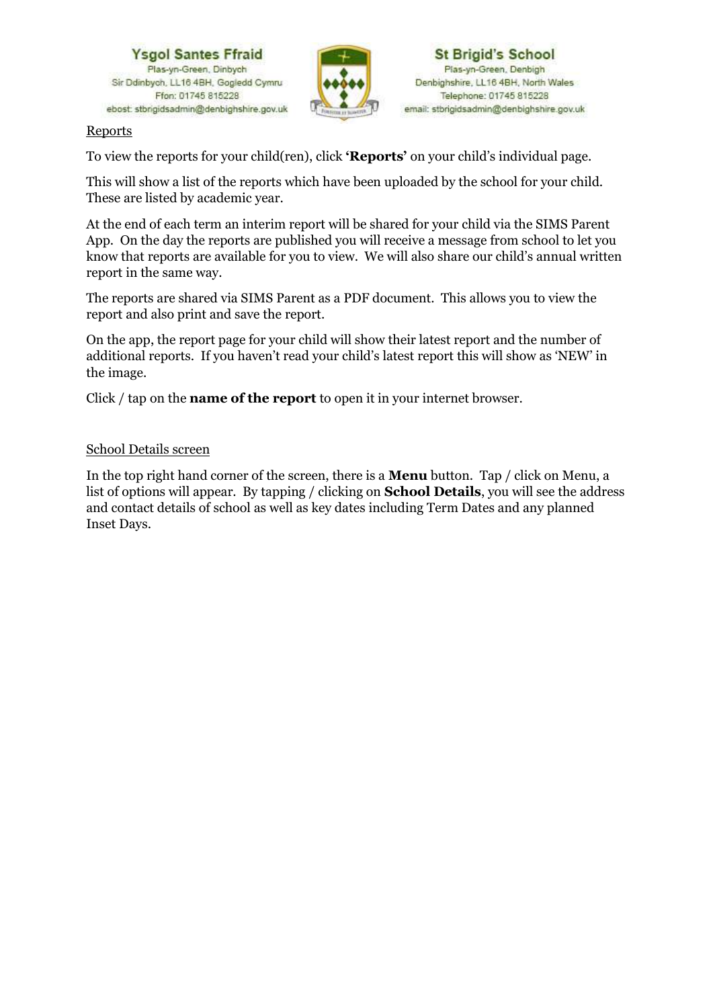



#### **Reports**

To view the reports for your child(ren), click **'Reports'** on your child's individual page.

This will show a list of the reports which have been uploaded by the school for your child. These are listed by academic year.

At the end of each term an interim report will be shared for your child via the SIMS Parent App. On the day the reports are published you will receive a message from school to let you know that reports are available for you to view. We will also share our child's annual written report in the same way.

The reports are shared via SIMS Parent as a PDF document. This allows you to view the report and also print and save the report.

On the app, the report page for your child will show their latest report and the number of additional reports. If you haven't read your child's latest report this will show as 'NEW' in the image.

Click / tap on the **name of the report** to open it in your internet browser.

### School Details screen

In the top right hand corner of the screen, there is a **Menu** button. Tap / click on Menu, a list of options will appear. By tapping / clicking on **School Details**, you will see the address and contact details of school as well as key dates including Term Dates and any planned Inset Days.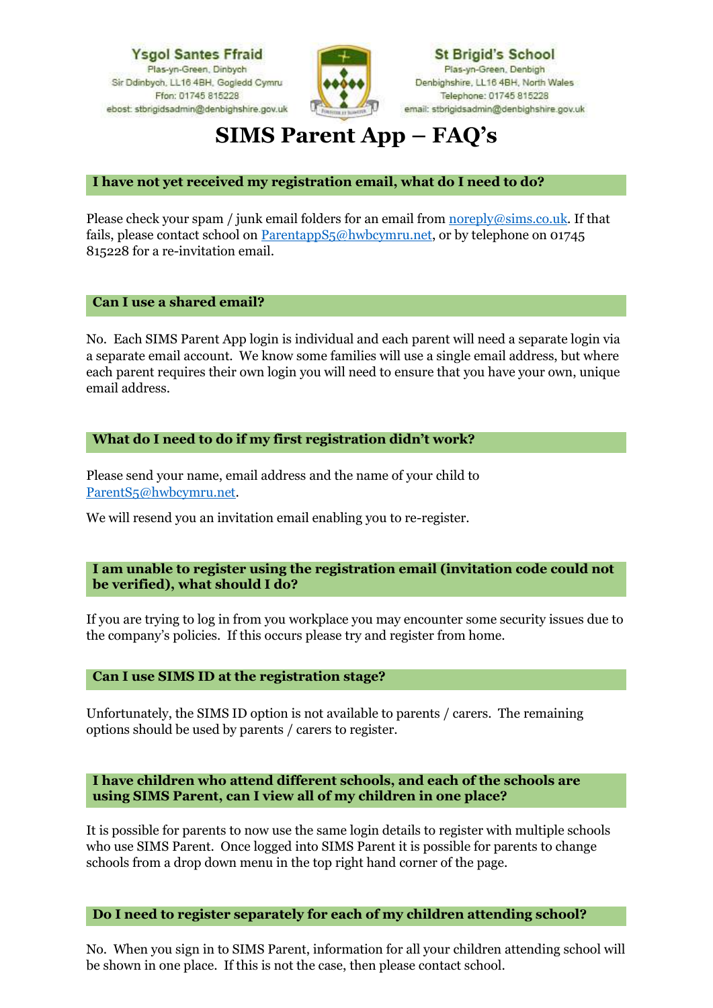

**St Brigid's School** Plas-yn-Green, Denbigh Denbighshire, LL16 4BH, North Wales Telephone: 01745 815228 email: stbrigidsadmin@denbighshire.gov.uk

# **SIMS Parent App – FAQ's**

#### **I have not yet received my registration email, what do I need to do?**

Please check your spam / junk email folders for an email from [noreply@sims.co.uk.](mailto:noreply@sims.co.uk) If that fails, please contact school on ParentappS<sub>5</sub>@hwbcymru.net, or by telephone on 01745 815228 for a re-invitation email.

**Can I use a shared email?**

No. Each SIMS Parent App login is individual and each parent will need a separate login via a separate email account. We know some families will use a single email address, but where each parent requires their own login you will need to ensure that you have your own, unique email address.

#### **What do I need to do if my first registration didn't work?**

Please send your name, email address and the name of your child to [ParentS5@hwbcymru.net.](mailto:ParentS5@hwbcymru.net)

We will resend you an invitation email enabling you to re-register.

#### **I am unable to register using the registration email (invitation code could not be verified), what should I do?**

If you are trying to log in from you workplace you may encounter some security issues due to the company's policies. If this occurs please try and register from home.

**Can I use SIMS ID at the registration stage?**

Unfortunately, the SIMS ID option is not available to parents / carers. The remaining options should be used by parents / carers to register.

**I have children who attend different schools, and each of the schools are using SIMS Parent, can I view all of my children in one place?**

It is possible for parents to now use the same login details to register with multiple schools who use SIMS Parent. Once logged into SIMS Parent it is possible for parents to change schools from a drop down menu in the top right hand corner of the page.

**Do I need to register separately for each of my children attending school?**

No. When you sign in to SIMS Parent, information for all your children attending school will be shown in one place. If this is not the case, then please contact school.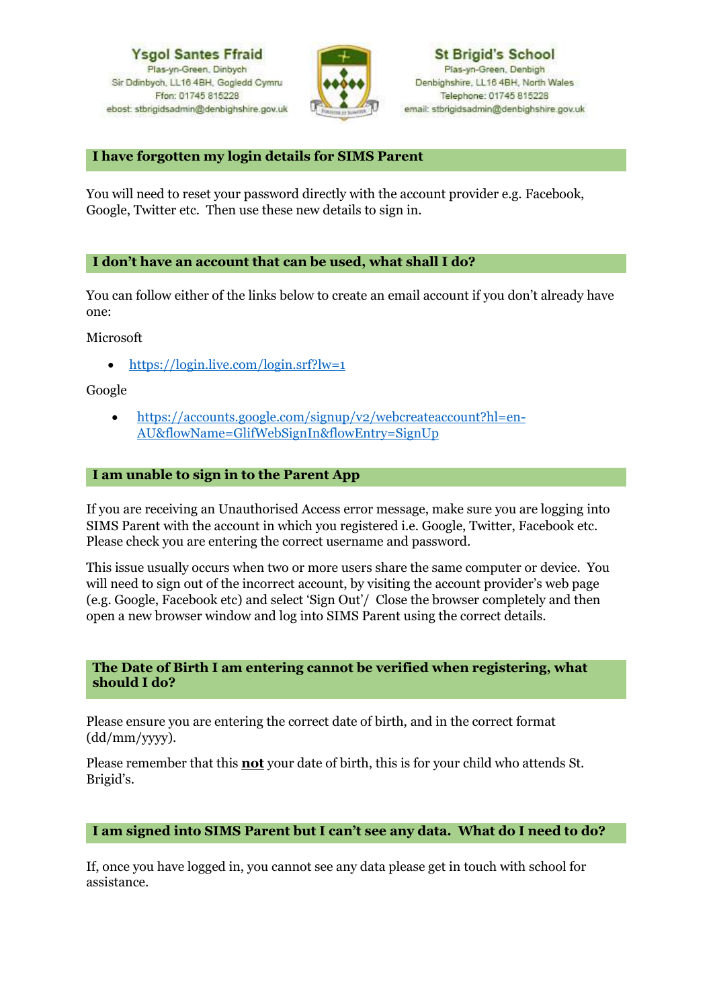

#### **I have forgotten my login details for SIMS Parent**

You will need to reset your password directly with the account provider e.g. Facebook, Google, Twitter etc. Then use these new details to sign in.

#### **I don't have an account that can be used, what shall I do?**

You can follow either of the links below to create an email account if you don't already have one:

Microsoft

• <https://login.live.com/login.srf?lw=1>

Google

• [https://accounts.google.com/signup/v2/webcreateaccount?hl=en-](https://accounts.google.com/signup/v2/webcreateaccount?hl=en-AU&flowName=GlifWebSignIn&flowEntry=SignUp)[AU&flowName=GlifWebSignIn&flowEntry=SignUp](https://accounts.google.com/signup/v2/webcreateaccount?hl=en-AU&flowName=GlifWebSignIn&flowEntry=SignUp)

#### **I am unable to sign in to the Parent App**

If you are receiving an Unauthorised Access error message, make sure you are logging into SIMS Parent with the account in which you registered i.e. Google, Twitter, Facebook etc. Please check you are entering the correct username and password.

This issue usually occurs when two or more users share the same computer or device. You will need to sign out of the incorrect account, by visiting the account provider's web page (e.g. Google, Facebook etc) and select 'Sign Out'/ Close the browser completely and then open a new browser window and log into SIMS Parent using the correct details.

#### **The Date of Birth I am entering cannot be verified when registering, what should I do?**

Please ensure you are entering the correct date of birth, and in the correct format (dd/mm/yyyy).

Please remember that this **not** your date of birth, this is for your child who attends St. Brigid's.

#### **I am signed into SIMS Parent but I can't see any data. What do I need to do?**

If, once you have logged in, you cannot see any data please get in touch with school for assistance.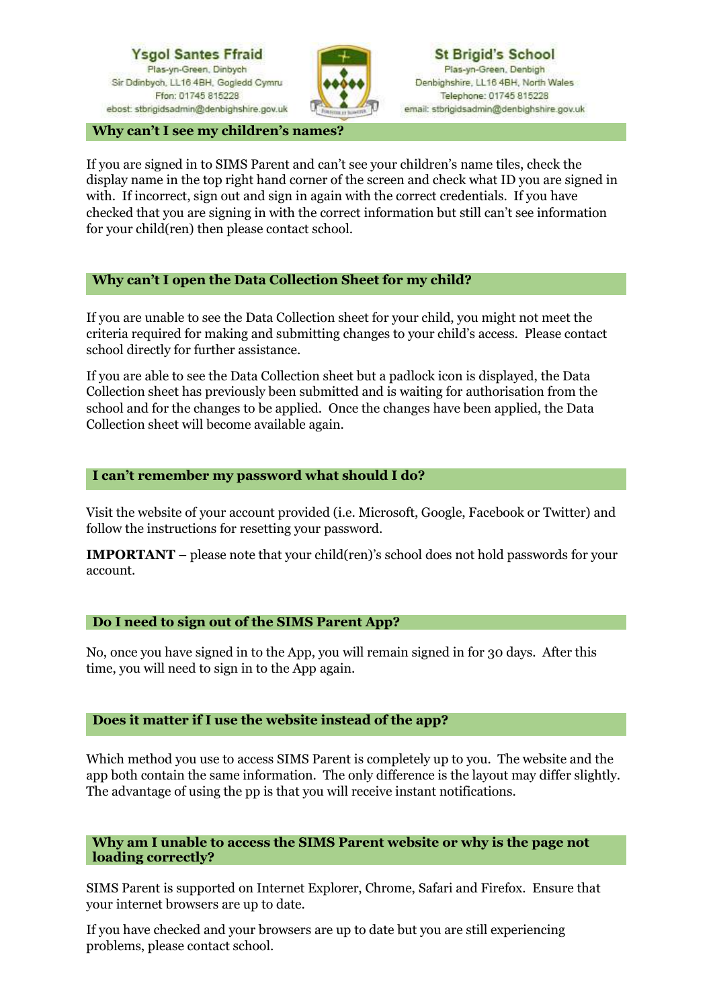

**Why can't I see my children's names?**

If you are signed in to SIMS Parent and can't see your children's name tiles, check the display name in the top right hand corner of the screen and check what ID you are signed in with. If incorrect, sign out and sign in again with the correct credentials. If you have checked that you are signing in with the correct information but still can't see information for your child(ren) then please contact school.

#### **Why can't I open the Data Collection Sheet for my child?**

If you are unable to see the Data Collection sheet for your child, you might not meet the criteria required for making and submitting changes to your child's access. Please contact school directly for further assistance.

If you are able to see the Data Collection sheet but a padlock icon is displayed, the Data Collection sheet has previously been submitted and is waiting for authorisation from the school and for the changes to be applied. Once the changes have been applied, the Data Collection sheet will become available again.

#### **I can't remember my password what should I do?**

Visit the website of your account provided (i.e. Microsoft, Google, Facebook or Twitter) and follow the instructions for resetting your password.

**IMPORTANT** – please note that your child(ren)'s school does not hold passwords for your account.

#### **Do I need to sign out of the SIMS Parent App?**

No, once you have signed in to the App, you will remain signed in for 30 days. After this time, you will need to sign in to the App again.

#### **Does it matter if I use the website instead of the app?**

Which method you use to access SIMS Parent is completely up to you. The website and the app both contain the same information. The only difference is the layout may differ slightly. The advantage of using the pp is that you will receive instant notifications.

#### **Why am I unable to access the SIMS Parent website or why is the page not loading correctly?**

SIMS Parent is supported on Internet Explorer, Chrome, Safari and Firefox. Ensure that your internet browsers are up to date.

If you have checked and your browsers are up to date but you are still experiencing problems, please contact school.